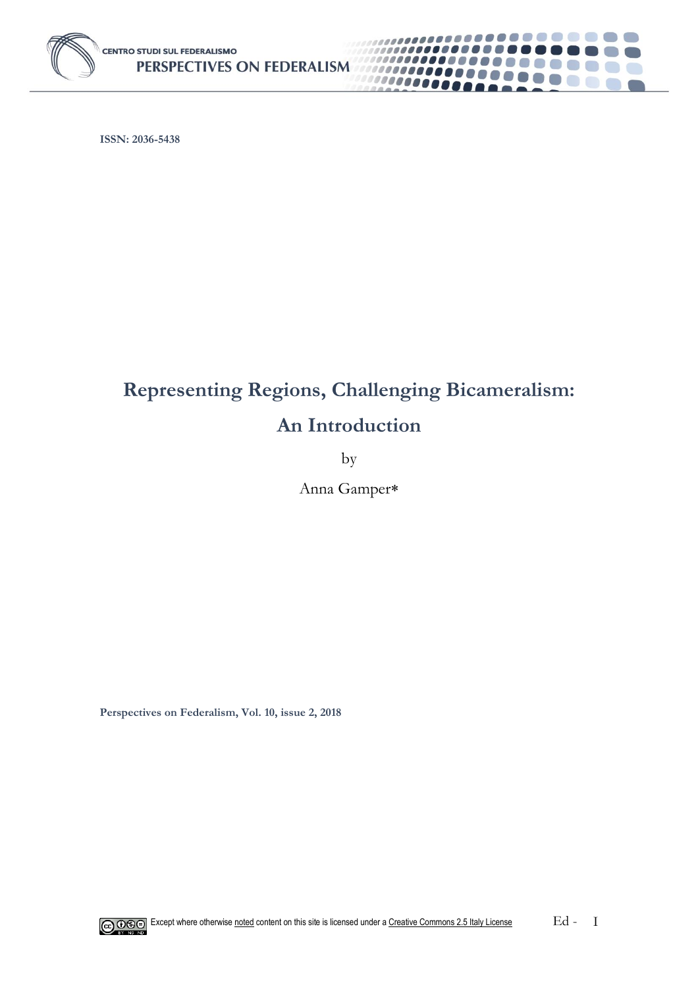

**ISSN: 2036-5438**

# **Representing Regions, Challenging Bicameralism: An Introduction**

.........

 $\left( \begin{array}{cc} 0 & 0 \\ 0 & 0 \end{array} \right)$ 

a d

 $\mathbb{Z} \rightarrow \mathbb{R}$ 

 $\mathbb{R}^2$ 6. 67 **Contract** 

 $\left( \begin{array}{c} \end{array} \right)$ 

,,,,,,,,,,

1000000000

10000000

by

Anna Gamper

**Perspectives on Federalism, Vol. 10, issue 2, 2018**

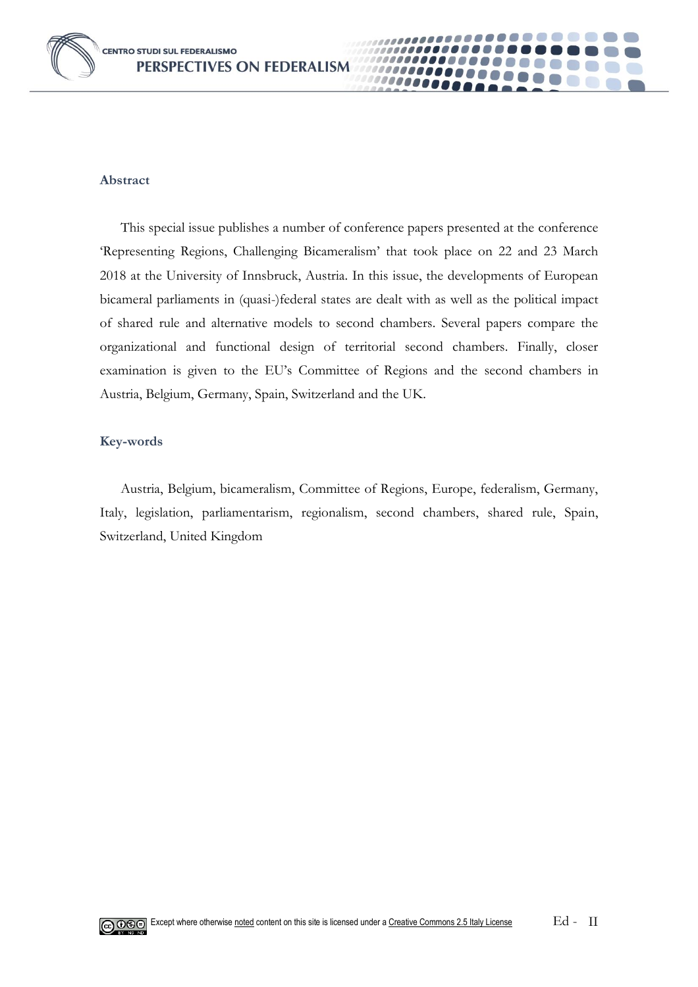

### **Abstract**

This special issue publishes a number of conference papers presented at the conference 'Representing Regions, Challenging Bicameralism' that took place on 22 and 23 March 2018 at the University of Innsbruck, Austria. In this issue, the developments of European bicameral parliaments in (quasi-)federal states are dealt with as well as the political impact of shared rule and alternative models to second chambers. Several papers compare the organizational and functional design of territorial second chambers. Finally, closer examination is given to the EU's Committee of Regions and the second chambers in Austria, Belgium, Germany, Spain, Switzerland and the UK.

0000

### **Key-words**

Austria, Belgium, bicameralism, Committee of Regions, Europe, federalism, Germany, Italy, legislation, parliamentarism, regionalism, second chambers, shared rule, Spain, Switzerland, United Kingdom

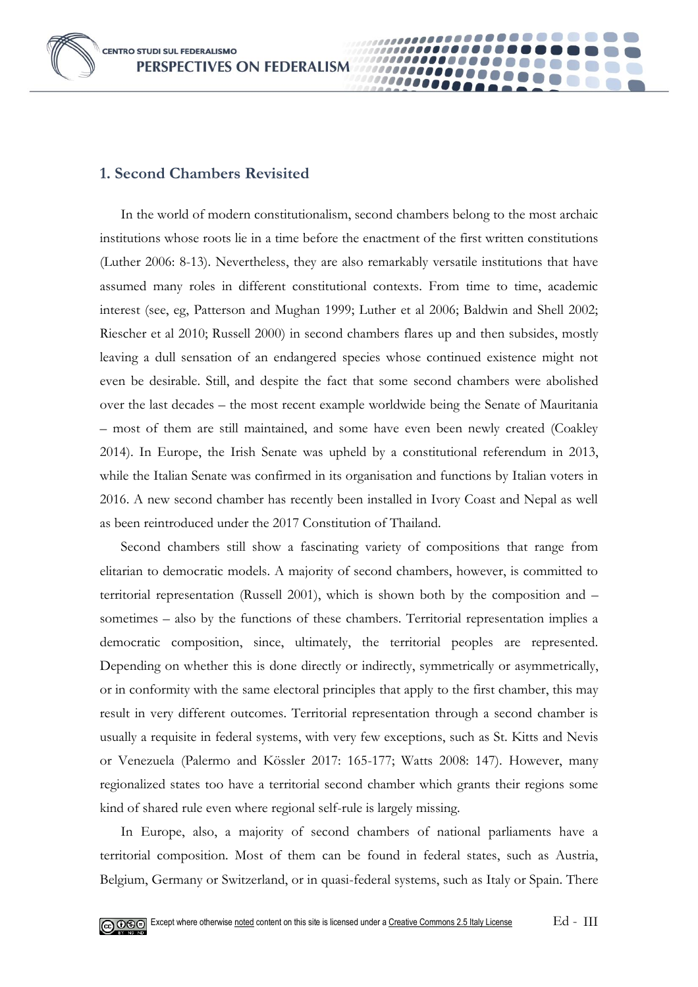**CENTRO STUDI SUL FEDERALISMO** PERSPECTIVES ON FEDERALISM



## **1. Second Chambers Revisited**

In the world of modern constitutionalism, second chambers belong to the most archaic institutions whose roots lie in a time before the enactment of the first written constitutions (Luther 2006: 8-13). Nevertheless, they are also remarkably versatile institutions that have assumed many roles in different constitutional contexts. From time to time, academic interest (see, eg, Patterson and Mughan 1999; Luther et al 2006; Baldwin and Shell 2002; Riescher et al 2010; Russell 2000) in second chambers flares up and then subsides, mostly leaving a dull sensation of an endangered species whose continued existence might not even be desirable. Still, and despite the fact that some second chambers were abolished over the last decades – the most recent example worldwide being the Senate of Mauritania – most of them are still maintained, and some have even been newly created (Coakley 2014). In Europe, the Irish Senate was upheld by a constitutional referendum in 2013, while the Italian Senate was confirmed in its organisation and functions by Italian voters in 2016. A new second chamber has recently been installed in Ivory Coast and Nepal as well as been reintroduced under the 2017 Constitution of Thailand.

0000

Second chambers still show a fascinating variety of compositions that range from elitarian to democratic models. A majority of second chambers, however, is committed to territorial representation (Russell 2001), which is shown both by the composition and – sometimes – also by the functions of these chambers. Territorial representation implies a democratic composition, since, ultimately, the territorial peoples are represented. Depending on whether this is done directly or indirectly, symmetrically or asymmetrically, or in conformity with the same electoral principles that apply to the first chamber, this may result in very different outcomes. Territorial representation through a second chamber is usually a requisite in federal systems, with very few exceptions, such as St. Kitts and Nevis or Venezuela (Palermo and Kössler 2017: 165-177; Watts 2008: 147). However, many regionalized states too have a territorial second chamber which grants their regions some kind of shared rule even where regional self-rule is largely missing.

In Europe, also, a majority of second chambers of national parliaments have a territorial composition. Most of them can be found in federal states, such as Austria, Belgium, Germany or Switzerland, or in quasi-federal systems, such as Italy or Spain. There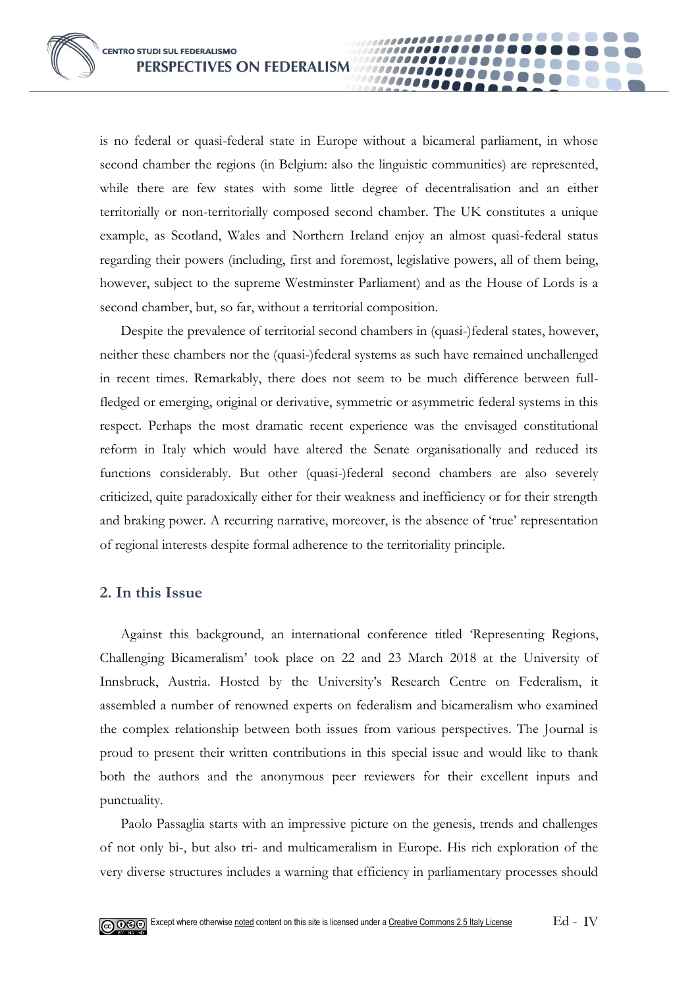is no federal or quasi-federal state in Europe without a bicameral parliament, in whose second chamber the regions (in Belgium: also the linguistic communities) are represented, while there are few states with some little degree of decentralisation and an either territorially or non-territorially composed second chamber. The UK constitutes a unique example, as Scotland, Wales and Northern Ireland enjoy an almost quasi-federal status regarding their powers (including, first and foremost, legislative powers, all of them being, however, subject to the supreme Westminster Parliament) and as the House of Lords is a second chamber, but, so far, without a territorial composition.

**0000** 

Despite the prevalence of territorial second chambers in (quasi-)federal states, however, neither these chambers nor the (quasi-)federal systems as such have remained unchallenged in recent times. Remarkably, there does not seem to be much difference between fullfledged or emerging, original or derivative, symmetric or asymmetric federal systems in this respect. Perhaps the most dramatic recent experience was the envisaged constitutional reform in Italy which would have altered the Senate organisationally and reduced its functions considerably. But other (quasi-)federal second chambers are also severely criticized, quite paradoxically either for their weakness and inefficiency or for their strength and braking power. A recurring narrative, moreover, is the absence of 'true' representation of regional interests despite formal adherence to the territoriality principle.

## **2. In this Issue**

Against this background, an international conference titled 'Representing Regions, Challenging Bicameralism' took place on 22 and 23 March 2018 at the University of Innsbruck, Austria. Hosted by the University's Research Centre on Federalism, it assembled a number of renowned experts on federalism and bicameralism who examined the complex relationship between both issues from various perspectives. The Journal is proud to present their written contributions in this special issue and would like to thank both the authors and the anonymous peer reviewers for their excellent inputs and punctuality.

Paolo Passaglia starts with an impressive picture on the genesis, trends and challenges of not only bi-, but also tri- and multicameralism in Europe. His rich exploration of the very diverse structures includes a warning that efficiency in parliamentary processes should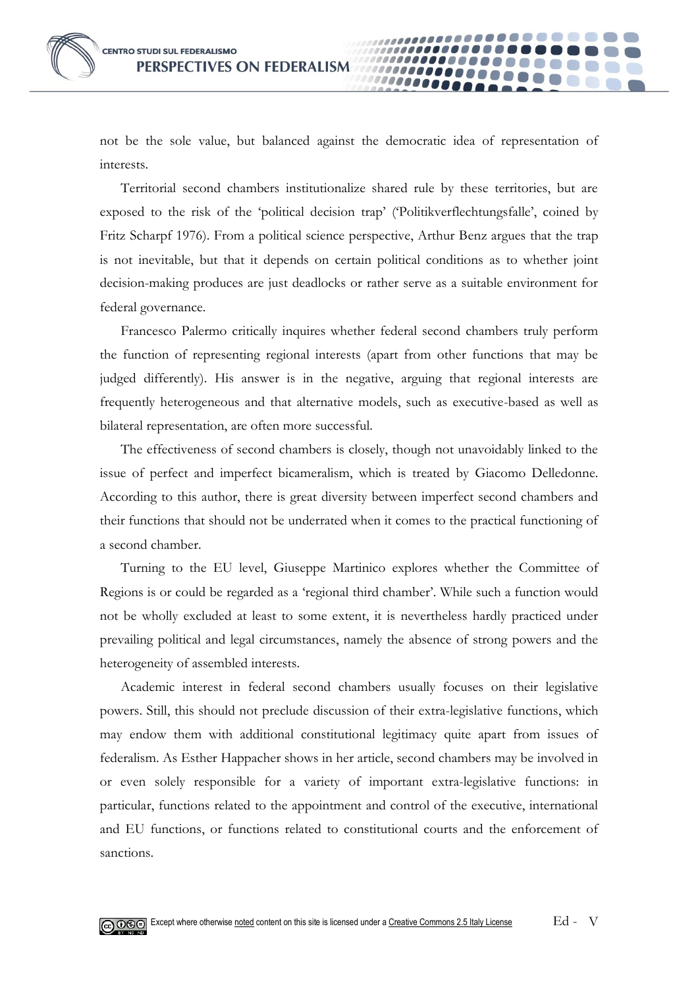not be the sole value, but balanced against the democratic idea of representation of interests.

**10000** 

Territorial second chambers institutionalize shared rule by these territories, but are exposed to the risk of the 'political decision trap' ('Politikverflechtungsfalle', coined by Fritz Scharpf 1976). From a political science perspective, Arthur Benz argues that the trap is not inevitable, but that it depends on certain political conditions as to whether joint decision-making produces are just deadlocks or rather serve as a suitable environment for federal governance.

Francesco Palermo critically inquires whether federal second chambers truly perform the function of representing regional interests (apart from other functions that may be judged differently). His answer is in the negative, arguing that regional interests are frequently heterogeneous and that alternative models, such as executive-based as well as bilateral representation, are often more successful.

The effectiveness of second chambers is closely, though not unavoidably linked to the issue of perfect and imperfect bicameralism, which is treated by Giacomo Delledonne. According to this author, there is great diversity between imperfect second chambers and their functions that should not be underrated when it comes to the practical functioning of a second chamber.

Turning to the EU level, Giuseppe Martinico explores whether the Committee of Regions is or could be regarded as a 'regional third chamber'. While such a function would not be wholly excluded at least to some extent, it is nevertheless hardly practiced under prevailing political and legal circumstances, namely the absence of strong powers and the heterogeneity of assembled interests.

Academic interest in federal second chambers usually focuses on their legislative powers. Still, this should not preclude discussion of their extra-legislative functions, which may endow them with additional constitutional legitimacy quite apart from issues of federalism. As Esther Happacher shows in her article, second chambers may be involved in or even solely responsible for a variety of important extra-legislative functions: in particular, functions related to the appointment and control of the executive, international and EU functions, or functions related to constitutional courts and the enforcement of sanctions.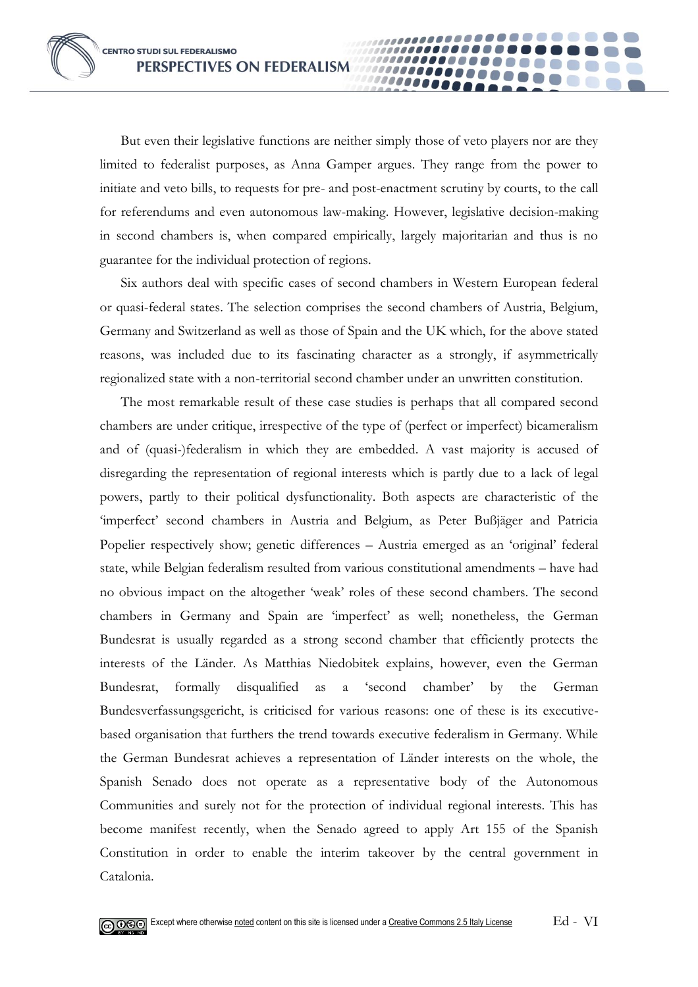But even their legislative functions are neither simply those of veto players nor are they limited to federalist purposes, as Anna Gamper argues. They range from the power to initiate and veto bills, to requests for pre- and post-enactment scrutiny by courts, to the call for referendums and even autonomous law-making. However, legislative decision-making in second chambers is, when compared empirically, largely majoritarian and thus is no guarantee for the individual protection of regions.

**10000** 

Six authors deal with specific cases of second chambers in Western European federal or quasi-federal states. The selection comprises the second chambers of Austria, Belgium, Germany and Switzerland as well as those of Spain and the UK which, for the above stated reasons, was included due to its fascinating character as a strongly, if asymmetrically regionalized state with a non-territorial second chamber under an unwritten constitution.

The most remarkable result of these case studies is perhaps that all compared second chambers are under critique, irrespective of the type of (perfect or imperfect) bicameralism and of (quasi-)federalism in which they are embedded. A vast majority is accused of disregarding the representation of regional interests which is partly due to a lack of legal powers, partly to their political dysfunctionality. Both aspects are characteristic of the 'imperfect' second chambers in Austria and Belgium, as Peter Bußjäger and Patricia Popelier respectively show; genetic differences – Austria emerged as an 'original' federal state, while Belgian federalism resulted from various constitutional amendments – have had no obvious impact on the altogether 'weak' roles of these second chambers. The second chambers in Germany and Spain are 'imperfect' as well; nonetheless, the German Bundesrat is usually regarded as a strong second chamber that efficiently protects the interests of the Länder. As Matthias Niedobitek explains, however, even the German Bundesrat, formally disqualified as a 'second chamber' by the German Bundesverfassungsgericht, is criticised for various reasons: one of these is its executivebased organisation that furthers the trend towards executive federalism in Germany. While the German Bundesrat achieves a representation of Länder interests on the whole, the Spanish Senado does not operate as a representative body of the Autonomous Communities and surely not for the protection of individual regional interests. This has become manifest recently, when the Senado agreed to apply Art 155 of the Spanish Constitution in order to enable the interim takeover by the central government in Catalonia.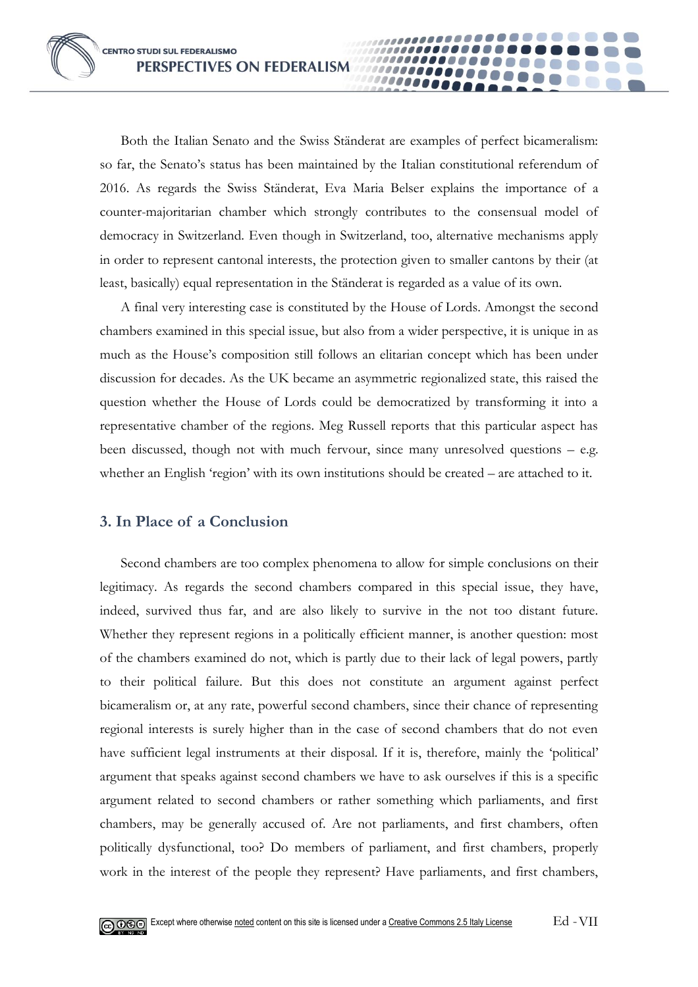Both the Italian Senato and the Swiss Ständerat are examples of perfect bicameralism: so far, the Senato's status has been maintained by the Italian constitutional referendum of 2016. As regards the Swiss Ständerat, Eva Maria Belser explains the importance of a counter-majoritarian chamber which strongly contributes to the consensual model of democracy in Switzerland. Even though in Switzerland, too, alternative mechanisms apply in order to represent cantonal interests, the protection given to smaller cantons by their (at least, basically) equal representation in the Ständerat is regarded as a value of its own.

**0000** 

A final very interesting case is constituted by the House of Lords. Amongst the second chambers examined in this special issue, but also from a wider perspective, it is unique in as much as the House's composition still follows an elitarian concept which has been under discussion for decades. As the UK became an asymmetric regionalized state, this raised the question whether the House of Lords could be democratized by transforming it into a representative chamber of the regions. Meg Russell reports that this particular aspect has been discussed, though not with much fervour, since many unresolved questions – e.g. whether an English 'region' with its own institutions should be created – are attached to it.

## **3. In Place of a Conclusion**

Second chambers are too complex phenomena to allow for simple conclusions on their legitimacy. As regards the second chambers compared in this special issue, they have, indeed, survived thus far, and are also likely to survive in the not too distant future. Whether they represent regions in a politically efficient manner, is another question: most of the chambers examined do not, which is partly due to their lack of legal powers, partly to their political failure. But this does not constitute an argument against perfect bicameralism or, at any rate, powerful second chambers, since their chance of representing regional interests is surely higher than in the case of second chambers that do not even have sufficient legal instruments at their disposal. If it is, therefore, mainly the 'political' argument that speaks against second chambers we have to ask ourselves if this is a specific argument related to second chambers or rather something which parliaments, and first chambers, may be generally accused of. Are not parliaments, and first chambers, often politically dysfunctional, too? Do members of parliament, and first chambers, properly work in the interest of the people they represent? Have parliaments, and first chambers,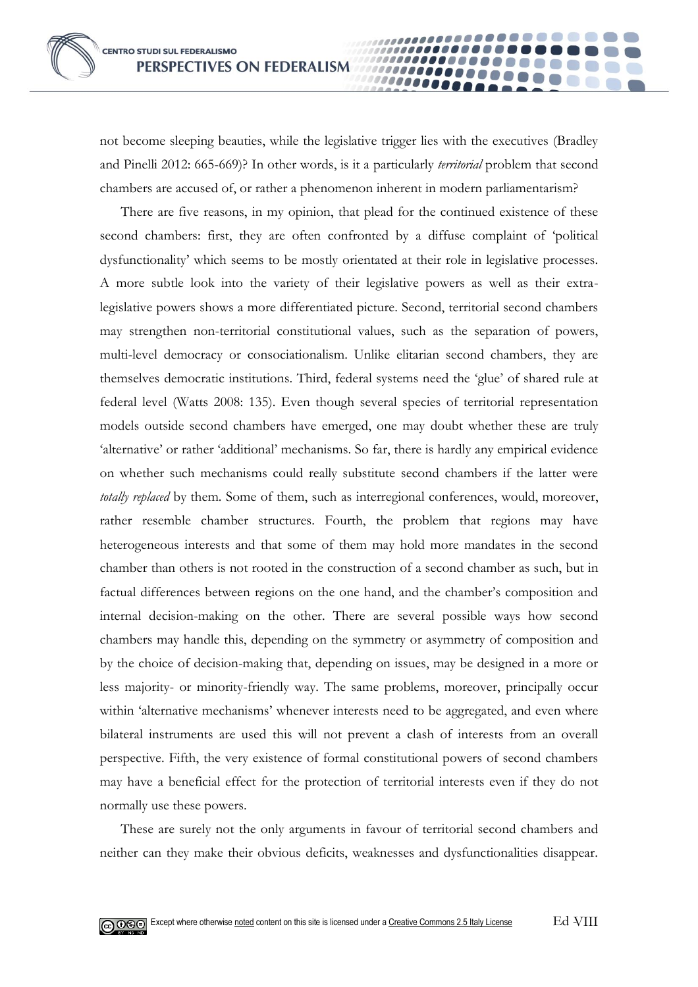not become sleeping beauties, while the legislative trigger lies with the executives (Bradley and Pinelli 2012: 665-669)? In other words, is it a particularly *territorial* problem that second chambers are accused of, or rather a phenomenon inherent in modern parliamentarism?

00000

There are five reasons, in my opinion, that plead for the continued existence of these second chambers: first, they are often confronted by a diffuse complaint of 'political dysfunctionality' which seems to be mostly orientated at their role in legislative processes. A more subtle look into the variety of their legislative powers as well as their extralegislative powers shows a more differentiated picture. Second, territorial second chambers may strengthen non-territorial constitutional values, such as the separation of powers, multi-level democracy or consociationalism. Unlike elitarian second chambers, they are themselves democratic institutions. Third, federal systems need the 'glue' of shared rule at federal level (Watts 2008: 135). Even though several species of territorial representation models outside second chambers have emerged, one may doubt whether these are truly 'alternative' or rather 'additional' mechanisms. So far, there is hardly any empirical evidence on whether such mechanisms could really substitute second chambers if the latter were *totally replaced* by them. Some of them, such as interregional conferences, would, moreover, rather resemble chamber structures. Fourth, the problem that regions may have heterogeneous interests and that some of them may hold more mandates in the second chamber than others is not rooted in the construction of a second chamber as such, but in factual differences between regions on the one hand, and the chamber's composition and internal decision-making on the other. There are several possible ways how second chambers may handle this, depending on the symmetry or asymmetry of composition and by the choice of decision-making that, depending on issues, may be designed in a more or less majority- or minority-friendly way. The same problems, moreover, principally occur within 'alternative mechanisms' whenever interests need to be aggregated, and even where bilateral instruments are used this will not prevent a clash of interests from an overall perspective. Fifth, the very existence of formal constitutional powers of second chambers may have a beneficial effect for the protection of territorial interests even if they do not normally use these powers.

These are surely not the only arguments in favour of territorial second chambers and neither can they make their obvious deficits, weaknesses and dysfunctionalities disappear.